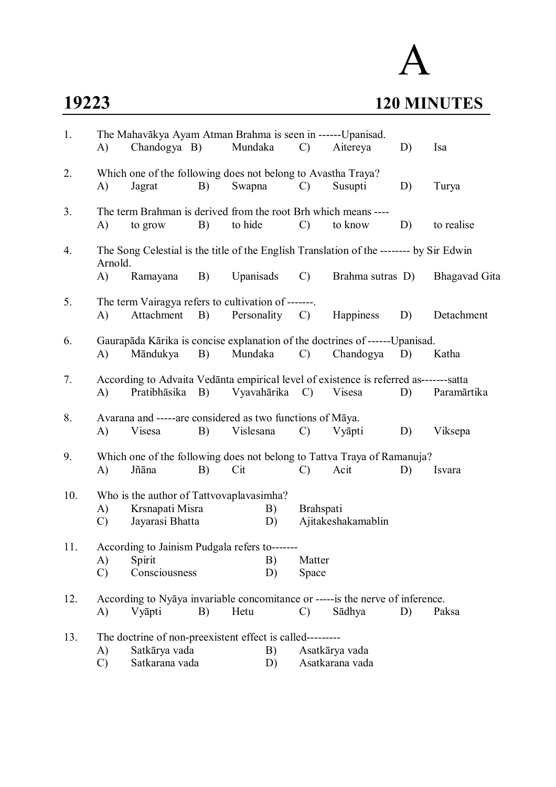## **19223 120 MINUTES**

## A

| 1.  | The Mahavākya Ayam Atman Brahma is seen in ------Upanisad. |                                                                                                         |    |                |          |                 |                                   |    |                      |  |  |
|-----|------------------------------------------------------------|---------------------------------------------------------------------------------------------------------|----|----------------|----------|-----------------|-----------------------------------|----|----------------------|--|--|
|     | A)                                                         | Chandogya B)                                                                                            |    | Mundaka        |          | $\mathcal{C}$ ) | Aitereya                          | D) | Isa                  |  |  |
| 2.  | A)                                                         | Which one of the following does not belong to Avastha Traya?<br>Jagrat                                  | B) | Swapna         |          | $\mathcal{C}$   | Susupti                           | D) | Turya                |  |  |
| 3.  | A)                                                         | The term Brahman is derived from the root Brh which means ----<br>to grow                               | B) | to hide        |          | $\mathcal{C}$   | to know                           | D) | to realise           |  |  |
| 4.  |                                                            | The Song Celestial is the title of the English Translation of the -------- by Sir Edwin                 |    |                |          |                 |                                   |    |                      |  |  |
|     | Arnold.<br>A)                                              | Ramayana                                                                                                | B) | Upanisads      |          | $\mathcal{C}$   | Brahma sutras D)                  |    | <b>Bhagavad Gita</b> |  |  |
| 5.  | A)                                                         | The term Vairagya refers to cultivation of -------<br>Attachment                                        | B) | Personality C) |          |                 | Happiness                         | D) | Detachment           |  |  |
| 6.  | A)                                                         | Gaurapāda Kārika is concise explanation of the doctrines of ------Upanisad.<br>Māndukya                 | B) | Mundaka        |          | $\mathcal{C}$   | Chandogya                         | D) | Katha                |  |  |
| 7.  | A)                                                         | According to Advaita Vedanta empirical level of existence is referred as-------satta<br>Pratibhāsika B) |    | Vyavahārika C) |          |                 | Visesa                            | D) | Paramārtika          |  |  |
| 8.  | A)                                                         | Avarana and -----are considered as two functions of Māya.<br>Visesa                                     | B) | Vislesana      |          | $\mathcal{C}$   | Vyāpti                            | D) | Viksepa              |  |  |
| 9.  | A)                                                         | Which one of the following does not belong to Tattva Traya of Ramanuja?<br>Jñāna                        | B) | Cit            |          | $\mathcal{C}$   | Acit                              | D) | Isvara               |  |  |
| 10. | A)<br>$\mathcal{C}$                                        | Who is the author of Tattvovaplavasimha?<br>Krsnapati Misra<br>Jayarasi Bhatta                          |    |                | B)<br>D) | Brahspati       | Ajitakeshakamablin                |    |                      |  |  |
| 11. | A)<br>$\mathcal{C}$                                        | According to Jainism Pudgala refers to-------<br>Spirit<br>Consciousness                                |    |                | B)<br>D) | Matter<br>Space |                                   |    |                      |  |  |
| 12. | A)                                                         | According to Nyaya invariable concomitance or ----- is the nerve of inference.<br>Vyāpti                | B) | Hetu           |          | $\mathcal{C}$   | Sādhya                            | D) | Paksa                |  |  |
| 13. |                                                            | The doctrine of non-preexistent effect is called---------                                               |    |                |          |                 |                                   |    |                      |  |  |
|     | A)<br>$\mathcal{C}$                                        | Satkārya vada<br>Satkarana vada                                                                         |    |                | B)<br>D) |                 | Asatkārya vada<br>Asatkarana vada |    |                      |  |  |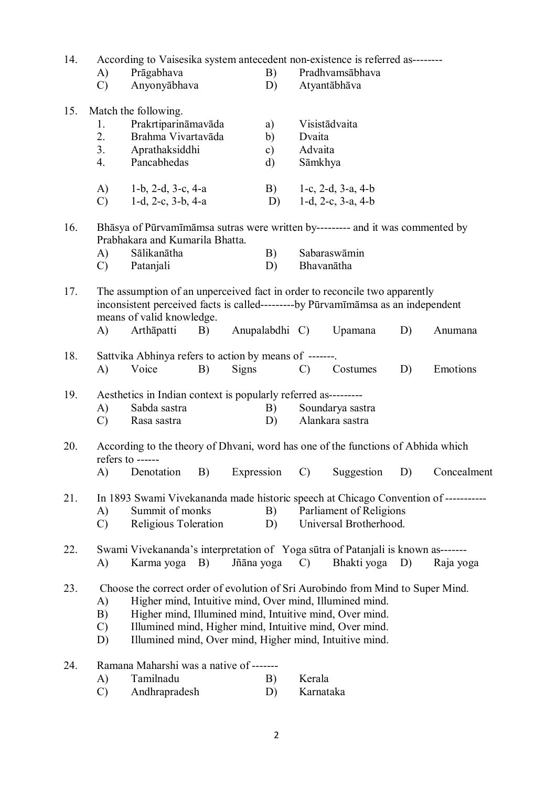| 14. | According to Vaisesika system antecedent non-existence is referred as--------<br>Prāgabhava<br>A) |                                                                                                                                                                                                                                                                                                                             |                                                                                                                   |                | B)                                        |                              | Pradhvamsābhava                                          |    |             |
|-----|---------------------------------------------------------------------------------------------------|-----------------------------------------------------------------------------------------------------------------------------------------------------------------------------------------------------------------------------------------------------------------------------------------------------------------------------|-------------------------------------------------------------------------------------------------------------------|----------------|-------------------------------------------|------------------------------|----------------------------------------------------------|----|-------------|
|     | $\mathcal{C}$                                                                                     | Anyonyābhava                                                                                                                                                                                                                                                                                                                |                                                                                                                   |                | D)                                        |                              | Atyantābhāva                                             |    |             |
| 15. | 1.<br>2.<br>3.<br>4.                                                                              | Match the following.<br>Prakrtiparināmavāda<br>Brahma Vivartavāda<br>Aprathaksiddhi<br>Pancabhedas                                                                                                                                                                                                                          |                                                                                                                   |                | a)<br>b)<br>$\mathbf{c})$<br>$\mathbf{d}$ | Dvaita<br>Advaita<br>Sāmkhya | Visistādvaita                                            |    |             |
|     | A)<br>$\mathcal{C}$                                                                               | 1-b, 2-d, 3-c, 4-a<br>1-d, 2-c, 3-b, 4-a                                                                                                                                                                                                                                                                                    |                                                                                                                   |                | B)<br>D)                                  |                              | 1-c, $2-d$ , $3-a$ , $4-b$<br>1-d, $2-c$ , $3-a$ , $4-b$ |    |             |
| 16. |                                                                                                   | Bhāsya of Pūrvamīmāmsa sutras were written by--------- and it was commented by<br>Prabhakara and Kumarila Bhatta.                                                                                                                                                                                                           |                                                                                                                   |                |                                           |                              |                                                          |    |             |
|     | A)<br>$\mathcal{C}$                                                                               | Sālikanātha<br>Patanjali                                                                                                                                                                                                                                                                                                    |                                                                                                                   |                | B)<br>D)                                  |                              | Sabaraswāmin<br>Bhavanātha                               |    |             |
| 17. | A)                                                                                                | The assumption of an unperceived fact in order to reconcile two apparently<br>inconsistent perceived facts is called---------by Pūrvamīmāmsa as an independent<br>means of valid knowledge.<br>Arthapatti<br>B)                                                                                                             |                                                                                                                   | Anupalabdhi C) |                                           |                              | Upamana                                                  | D) | Anumana     |
| 18. | A)                                                                                                | Sattvika Abhinya refers to action by means of -------.<br>Voice<br>B)                                                                                                                                                                                                                                                       |                                                                                                                   | Signs          |                                           | $\mathcal{C}$                | Costumes                                                 | D) | Emotions    |
| 19. | A)<br>$\mathcal{C}$                                                                               | Sabda sastra<br>Rasa sastra                                                                                                                                                                                                                                                                                                 | Aesthetics in Indian context is popularly referred as---------<br>B)<br>Soundarya sastra<br>Alankara sastra<br>D) |                |                                           |                              |                                                          |    |             |
| 20. | A)                                                                                                | According to the theory of Dhvani, word has one of the functions of Abhida which<br>refers to $---$<br>Denotation<br>B)                                                                                                                                                                                                     |                                                                                                                   | Expression     |                                           | $\mathcal{C}$                | Suggestion                                               | D) | Concealment |
| 21. | A)<br>$\mathcal{C}$                                                                               | In 1893 Swami Vivekananda made historic speech at Chicago Convention of ----------<br>Summit of monks<br>Religious Toleration                                                                                                                                                                                               |                                                                                                                   |                | B)<br>D)                                  |                              | Parliament of Religions<br>Universal Brotherhood.        |    |             |
| 22. | A)                                                                                                | Swami Vivekananda's interpretation of Yoga sūtra of Patanjali is known as-------<br>Karma yoga B)                                                                                                                                                                                                                           |                                                                                                                   | Jñāna yoga     |                                           | $\mathcal{C}$                | Bhakti yoga D)                                           |    | Raja yoga   |
| 23. | A)<br>B)<br>$\mathcal{C}$<br>D)                                                                   | Choose the correct order of evolution of Sri Aurobindo from Mind to Super Mind.<br>Higher mind, Intuitive mind, Over mind, Illumined mind.<br>Higher mind, Illumined mind, Intuitive mind, Over mind.<br>Illumined mind, Higher mind, Intuitive mind, Over mind.<br>Illumined mind, Over mind, Higher mind, Intuitive mind. |                                                                                                                   |                |                                           |                              |                                                          |    |             |
| 24. | A)<br>$\mathcal{C}$                                                                               | Ramana Maharshi was a native of -------<br>Tamilnadu<br>Andhrapradesh                                                                                                                                                                                                                                                       |                                                                                                                   |                | B)<br>D)                                  | Kerala<br>Karnataka          |                                                          |    |             |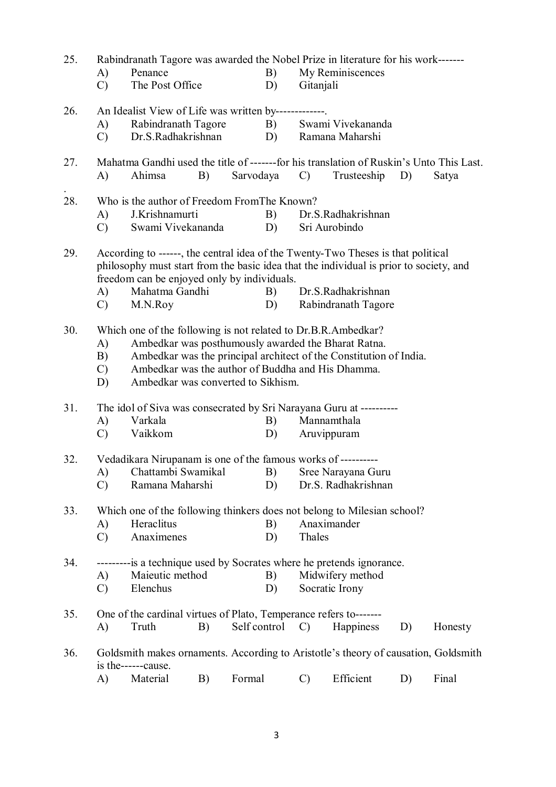| 25. |                                                                                                          | Rabindranath Tagore was awarded the Nobel Prize in literature for his work-------       |    |              |    |                 |                                                                    |    |         |  |  |
|-----|----------------------------------------------------------------------------------------------------------|-----------------------------------------------------------------------------------------|----|--------------|----|-----------------|--------------------------------------------------------------------|----|---------|--|--|
|     | A)                                                                                                       | Penance                                                                                 |    |              | B) |                 | My Reminiscences                                                   |    |         |  |  |
|     | $\mathcal{C}$                                                                                            | The Post Office                                                                         |    |              | D) | Gitanjali       |                                                                    |    |         |  |  |
| 26. |                                                                                                          | An Idealist View of Life was written by-------------                                    |    |              |    |                 |                                                                    |    |         |  |  |
|     | A)                                                                                                       | Rabindranath Tagore                                                                     |    |              | B) |                 | Swami Vivekananda                                                  |    |         |  |  |
|     | $\mathcal{C}$                                                                                            | Dr.S.Radhakrishnan                                                                      |    |              | D) |                 | Ramana Maharshi                                                    |    |         |  |  |
|     |                                                                                                          |                                                                                         |    |              |    |                 |                                                                    |    |         |  |  |
| 27. |                                                                                                          | Mahatma Gandhi used the title of -------for his translation of Ruskin's Unto This Last. |    |              |    |                 |                                                                    |    |         |  |  |
|     | A)                                                                                                       | Ahimsa                                                                                  | B) | Sarvodaya    |    | $\mathcal{C}$ ) | Trusteeship                                                        | D) | Satya   |  |  |
| 28. |                                                                                                          | Who is the author of Freedom From The Known?                                            |    |              |    |                 |                                                                    |    |         |  |  |
|     | A)                                                                                                       | J.Krishnamurti                                                                          |    |              | B) |                 | Dr.S.Radhakrishnan                                                 |    |         |  |  |
|     | $\mathcal{C}$                                                                                            | Swami Vivekananda                                                                       |    |              | D) |                 | Sri Aurobindo                                                      |    |         |  |  |
| 29. |                                                                                                          | According to ------, the central idea of the Twenty-Two Theses is that political        |    |              |    |                 |                                                                    |    |         |  |  |
|     |                                                                                                          | philosophy must start from the basic idea that the individual is prior to society, and  |    |              |    |                 |                                                                    |    |         |  |  |
|     |                                                                                                          | freedom can be enjoyed only by individuals.                                             |    |              |    |                 |                                                                    |    |         |  |  |
|     | A)                                                                                                       | Mahatma Gandhi                                                                          |    |              | B) |                 | Dr.S.Radhakrishnan                                                 |    |         |  |  |
|     | C)                                                                                                       | M.N.Roy                                                                                 |    |              | D) |                 | Rabindranath Tagore                                                |    |         |  |  |
| 30. |                                                                                                          | Which one of the following is not related to Dr.B.R.Ambedkar?                           |    |              |    |                 |                                                                    |    |         |  |  |
|     | A)                                                                                                       | Ambedkar was posthumously awarded the Bharat Ratna.                                     |    |              |    |                 |                                                                    |    |         |  |  |
|     | B)                                                                                                       |                                                                                         |    |              |    |                 | Ambedkar was the principal architect of the Constitution of India. |    |         |  |  |
|     | $\mathcal{C}$                                                                                            | Ambedkar was the author of Buddha and His Dhamma.                                       |    |              |    |                 |                                                                    |    |         |  |  |
|     | D)                                                                                                       | Ambedkar was converted to Sikhism.                                                      |    |              |    |                 |                                                                    |    |         |  |  |
|     |                                                                                                          |                                                                                         |    |              |    |                 |                                                                    |    |         |  |  |
| 31. |                                                                                                          | The idol of Siva was consecrated by Sri Narayana Guru at ----------                     |    |              |    |                 |                                                                    |    |         |  |  |
|     | A)                                                                                                       | Varkala                                                                                 |    |              | B) |                 | Mannamthala                                                        |    |         |  |  |
|     | $\mathcal{C}$                                                                                            | Vaikkom                                                                                 |    |              | D) |                 | Aruvippuram                                                        |    |         |  |  |
| 32. |                                                                                                          | Vedadikara Nirupanam is one of the famous works of ----------                           |    |              |    |                 |                                                                    |    |         |  |  |
|     |                                                                                                          | A) Chattambi Swamikal B) Sree Narayana Guru                                             |    |              |    |                 |                                                                    |    |         |  |  |
|     | $\mathcal{C}$                                                                                            | Ramana Maharshi                                                                         |    |              | D) |                 | Dr.S. Radhakrishnan                                                |    |         |  |  |
| 33. |                                                                                                          | Which one of the following thinkers does not belong to Milesian school?                 |    |              |    |                 |                                                                    |    |         |  |  |
|     | A)                                                                                                       | Heraclitus                                                                              |    |              | B) |                 | Anaximander                                                        |    |         |  |  |
|     | $\mathcal{C}$                                                                                            | Anaximenes                                                                              |    |              | D) | Thales          |                                                                    |    |         |  |  |
|     |                                                                                                          |                                                                                         |    |              |    |                 |                                                                    |    |         |  |  |
| 34. |                                                                                                          | ---------- is a technique used by Socrates where he pretends ignorance.                 |    |              |    |                 |                                                                    |    |         |  |  |
|     | A)                                                                                                       | Maieutic method                                                                         |    |              | B) |                 | Midwifery method                                                   |    |         |  |  |
|     | $\mathcal{C}$                                                                                            | Elenchus                                                                                |    |              | D) |                 | Socratic Irony                                                     |    |         |  |  |
| 35. |                                                                                                          | One of the cardinal virtues of Plato, Temperance refers to-------                       |    |              |    |                 |                                                                    |    |         |  |  |
|     | A)                                                                                                       | Truth                                                                                   | B) | Self control |    | $\mathcal{C}$   | Happiness                                                          | D) | Honesty |  |  |
|     |                                                                                                          |                                                                                         |    |              |    |                 |                                                                    |    |         |  |  |
| 36. | Goldsmith makes ornaments. According to Aristotle's theory of causation, Goldsmith<br>is the------cause. |                                                                                         |    |              |    |                 |                                                                    |    |         |  |  |
|     | A)                                                                                                       | Material                                                                                | B) | Formal       |    | $\mathcal{C}$   | Efficient                                                          | D) | Final   |  |  |
|     |                                                                                                          |                                                                                         |    |              |    |                 |                                                                    |    |         |  |  |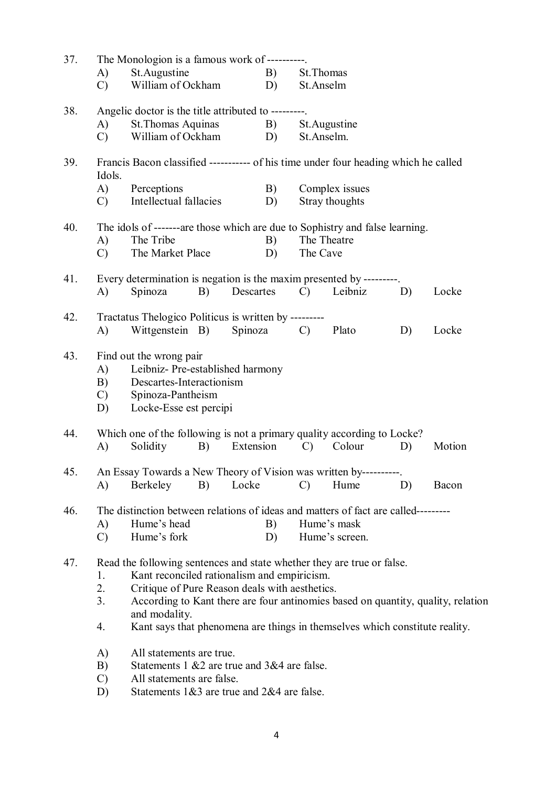| 37. | The Monologion is a famous work of ---------- |                                                                                     |           |               |                |    |        |  |  |  |
|-----|-----------------------------------------------|-------------------------------------------------------------------------------------|-----------|---------------|----------------|----|--------|--|--|--|
|     | A)                                            | St. Augustine                                                                       | B)        | St. Thomas    |                |    |        |  |  |  |
|     | $\mathcal{C}$                                 | William of Ockham                                                                   | D)        | St.Anselm     |                |    |        |  |  |  |
| 38. |                                               | Angelic doctor is the title attributed to ---------                                 |           |               |                |    |        |  |  |  |
|     | A)                                            | St. Thomas Aquinas                                                                  | B)        |               | St. Augustine  |    |        |  |  |  |
|     | C)                                            | William of Ockham                                                                   | D)        | St.Anselm.    |                |    |        |  |  |  |
| 39. |                                               | Francis Bacon classified ----------- of his time under four heading which he called |           |               |                |    |        |  |  |  |
|     | Idols.                                        |                                                                                     |           |               |                |    |        |  |  |  |
|     | A)                                            | Perceptions                                                                         | B)        |               | Complex issues |    |        |  |  |  |
|     | $\mathcal{C}$ )                               | Intellectual fallacies                                                              | D)        |               | Stray thoughts |    |        |  |  |  |
| 40. |                                               | The idols of -------are those which are due to Sophistry and false learning.        |           |               |                |    |        |  |  |  |
|     | A)                                            | The Tribe                                                                           | B)        | The Theatre   |                |    |        |  |  |  |
|     | $\mathcal{C}$                                 | The Market Place                                                                    | D)        | The Cave      |                |    |        |  |  |  |
| 41. |                                               | Every determination is negation is the maxim presented by ---------                 |           |               |                |    |        |  |  |  |
|     | A)                                            | Spinoza<br>B)                                                                       | Descartes | $\mathcal{C}$ | Leibniz        | D) | Locke  |  |  |  |
| 42. |                                               | Tractatus Thelogico Politicus is written by --------                                |           |               |                |    |        |  |  |  |
|     | A)                                            | Wittgenstein B)                                                                     | Spinoza   | $\mathcal{C}$ | Plato          | D) | Locke  |  |  |  |
| 43. |                                               | Find out the wrong pair                                                             |           |               |                |    |        |  |  |  |
|     | A)                                            | Leibniz- Pre-established harmony                                                    |           |               |                |    |        |  |  |  |
|     | B)                                            | Descartes-Interactionism                                                            |           |               |                |    |        |  |  |  |
|     | $\mathcal{C}$                                 | Spinoza-Pantheism                                                                   |           |               |                |    |        |  |  |  |
|     | D)                                            | Locke-Esse est percipi                                                              |           |               |                |    |        |  |  |  |
| 44. |                                               | Which one of the following is not a primary quality according to Locke?             |           |               |                |    |        |  |  |  |
|     | A)                                            | Solidity<br>B)                                                                      | Extension | $\mathcal{C}$ | Colour         | D) | Motion |  |  |  |
| 45. |                                               | An Essay Towards a New Theory of Vision was written by-                             |           |               |                |    |        |  |  |  |
|     | A)                                            | Berkeley<br>B)                                                                      | Locke     | $\mathcal{C}$ | Hume           | D) | Bacon  |  |  |  |
| 46. |                                               | The distinction between relations of ideas and matters of fact are called---------  |           |               |                |    |        |  |  |  |
|     | A)                                            | Hume's head                                                                         | B)        |               | Hume's mask    |    |        |  |  |  |
|     | $\mathcal{C}$                                 | Hume's fork                                                                         | D)        |               | Hume's screen. |    |        |  |  |  |
| 47. |                                               | Read the following sentences and state whether they are true or false.              |           |               |                |    |        |  |  |  |
|     | 1.                                            | Kant reconciled rationalism and empiricism.                                         |           |               |                |    |        |  |  |  |
|     | 2.                                            | Critique of Pure Reason deals with aesthetics.                                      |           |               |                |    |        |  |  |  |
|     | 3.                                            | According to Kant there are four antinomies based on quantity, quality, relation    |           |               |                |    |        |  |  |  |
|     |                                               | and modality.                                                                       |           |               |                |    |        |  |  |  |
|     | 4.                                            | Kant says that phenomena are things in themselves which constitute reality.         |           |               |                |    |        |  |  |  |
|     | A)                                            | All statements are true.                                                            |           |               |                |    |        |  |  |  |
|     | B)                                            | Statements 1 & 2 are true and 3 & 4 are false.                                      |           |               |                |    |        |  |  |  |
|     | $\mathcal{C}$                                 | All statements are false.                                                           |           |               |                |    |        |  |  |  |
|     | D)                                            | Statements $1&3$ are true and $2&4$ are false.                                      |           |               |                |    |        |  |  |  |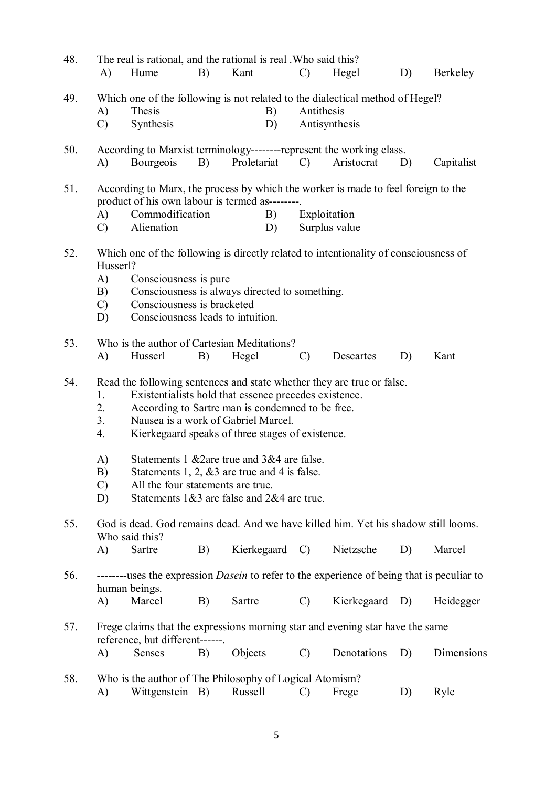| 48. | A)                                          | Hume                                                                                     | B)       | The real is rational, and the rational is real. Who said this?<br>Kant                                                                                                                                                                                 | $\mathcal{C}$ | Hegel                                                                                                               | D) | Berkeley   |
|-----|---------------------------------------------|------------------------------------------------------------------------------------------|----------|--------------------------------------------------------------------------------------------------------------------------------------------------------------------------------------------------------------------------------------------------------|---------------|---------------------------------------------------------------------------------------------------------------------|----|------------|
| 49. | A)<br>$\mathcal{C}$                         | Thesis<br>Synthesis                                                                      |          | B)<br>D)                                                                                                                                                                                                                                               | Antithesis    | Which one of the following is not related to the dialectical method of Hegel?<br>Antisynthesis                      |    |            |
| 50. | A)                                          | Bourgeois                                                                                | B)       | Proletariat                                                                                                                                                                                                                                            | $\mathcal{C}$ | According to Marxist terminology----------represent the working class.<br>Aristocrat                                | D) | Capitalist |
| 51. | A)<br>$\mathcal{C}$                         | Commodification<br>Alienation                                                            |          | product of his own labour is termed as--------<br>B)<br>D)                                                                                                                                                                                             |               | According to Marx, the process by which the worker is made to feel foreign to the<br>Exploitation<br>Surplus value  |    |            |
| 52. | Husserl?<br>A)<br>B)<br>$\mathcal{C}$<br>D) | Consciousness is pure<br>Consciousness is bracketed<br>Consciousness leads to intuition. |          | Consciousness is always directed to something.                                                                                                                                                                                                         |               | Which one of the following is directly related to intentionality of consciousness of                                |    |            |
| 53. | A)                                          | Husserl                                                                                  | B)       | Who is the author of Cartesian Meditations?<br>Hegel                                                                                                                                                                                                   | $\mathcal{C}$ | Descartes                                                                                                           | D) | Kant       |
| 54. | 1.<br>2.<br>3.<br>4.<br>A)                  |                                                                                          |          | Existentialists hold that essence precedes existence.<br>According to Sartre man is condemned to be free.<br>Nausea is a work of Gabriel Marcel.<br>Kierkegaard speaks of three stages of existence.<br>Statements 1 & 2 are true and 3 & 4 are false. |               | Read the following sentences and state whether they are true or false.                                              |    |            |
|     | B)<br>$\mathcal{C}$<br>D)                   | All the four statements are true.                                                        |          | Statements 1, 2, $&3$ are true and 4 is false.<br>Statements $1&3$ are false and $2&4$ are true.                                                                                                                                                       |               |                                                                                                                     |    |            |
| 55. |                                             | Who said this?<br>Sartre                                                                 |          |                                                                                                                                                                                                                                                        |               | God is dead. God remains dead. And we have killed him. Yet his shadow still looms.<br>Nietzsche                     |    | Marcel     |
| 56. | A)<br>A)                                    | human beings.<br>Marcel                                                                  | B)<br>B) | Kierkegaard C)<br>Sartre                                                                                                                                                                                                                               | $\mathcal{C}$ | --------uses the expression <i>Dasein</i> to refer to the experience of being that is peculiar to<br>Kierkegaard D) | D) | Heidegger  |
| 57. |                                             | reference, but different------.                                                          |          |                                                                                                                                                                                                                                                        |               | Frege claims that the expressions morning star and evening star have the same                                       |    |            |
|     | A)                                          | Senses                                                                                   | B)       | Objects                                                                                                                                                                                                                                                | $\mathcal{C}$ | Denotations                                                                                                         | D) | Dimensions |
| 58. | A)                                          | Wittgenstein B)                                                                          |          | Who is the author of The Philosophy of Logical Atomism?<br>Russell                                                                                                                                                                                     | C)            | Frege                                                                                                               | D) | Ryle       |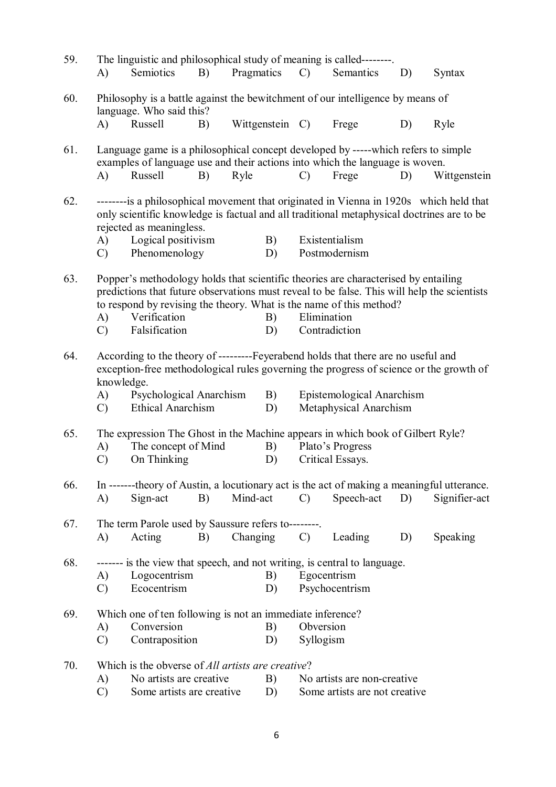| 59.                                                                                                                                                                                               | A)                  | The linguistic and philosophical study of meaning is called--------.<br>Semiotics                                                                                                                                                                                                         | B) | Pragmatics |                               | $\mathcal{C}$ )                                                                                    | Semantics                                           | D) | Syntax        |  |
|---------------------------------------------------------------------------------------------------------------------------------------------------------------------------------------------------|---------------------|-------------------------------------------------------------------------------------------------------------------------------------------------------------------------------------------------------------------------------------------------------------------------------------------|----|------------|-------------------------------|----------------------------------------------------------------------------------------------------|-----------------------------------------------------|----|---------------|--|
| 60.                                                                                                                                                                                               |                     | Philosophy is a battle against the bewitchment of our intelligence by means of<br>language. Who said this?                                                                                                                                                                                |    |            |                               |                                                                                                    |                                                     |    |               |  |
|                                                                                                                                                                                                   | A)                  | Russell                                                                                                                                                                                                                                                                                   | B) |            | Wittgenstein C)               |                                                                                                    | Frege                                               | D) | Ryle          |  |
| 61.                                                                                                                                                                                               |                     | Language game is a philosophical concept developed by -----which refers to simple<br>examples of language use and their actions into which the language is woven.                                                                                                                         |    |            |                               |                                                                                                    |                                                     |    |               |  |
|                                                                                                                                                                                                   | A)                  | Russell                                                                                                                                                                                                                                                                                   | B) | Ryle       |                               | $\mathcal{C}$                                                                                      | Frege                                               | D) | Wittgenstein  |  |
| 62.                                                                                                                                                                                               | A)                  | ---------is a philosophical movement that originated in Vienna in 1920s which held that<br>only scientific knowledge is factual and all traditional metaphysical doctrines are to be<br>rejected as meaningless.<br>Logical positivism                                                    |    |            | $\mathbf{B}$ )                |                                                                                                    | Existentialism                                      |    |               |  |
|                                                                                                                                                                                                   | $\mathcal{C}$       | Phenomenology                                                                                                                                                                                                                                                                             |    |            | D)                            |                                                                                                    | Postmodernism                                       |    |               |  |
| 63.                                                                                                                                                                                               | A)<br>$\mathcal{C}$ | Popper's methodology holds that scientific theories are characterised by entailing<br>predictions that future observations must reveal to be false. This will help the scientists<br>to respond by revising the theory. What is the name of this method?<br>Verification<br>Falsification |    |            | B)<br>D)                      | Elimination                                                                                        | Contradiction                                       |    |               |  |
|                                                                                                                                                                                                   |                     |                                                                                                                                                                                                                                                                                           |    |            |                               |                                                                                                    |                                                     |    |               |  |
| According to the theory of ----------Feyerabend holds that there are no useful and<br>64.<br>exception-free methodological rules governing the progress of science or the growth of<br>knowledge. |                     |                                                                                                                                                                                                                                                                                           |    |            |                               |                                                                                                    |                                                     |    |               |  |
|                                                                                                                                                                                                   | A)<br>C)            | Psychological Anarchism<br><b>Ethical Anarchism</b>                                                                                                                                                                                                                                       |    |            | B)<br>D)                      |                                                                                                    | Epistemological Anarchism<br>Metaphysical Anarchism |    |               |  |
| 65.                                                                                                                                                                                               |                     |                                                                                                                                                                                                                                                                                           |    |            |                               |                                                                                                    |                                                     |    |               |  |
|                                                                                                                                                                                                   | A)                  | The concept of Mind                                                                                                                                                                                                                                                                       |    |            | B)                            | The expression The Ghost in the Machine appears in which book of Gilbert Ryle?<br>Plato's Progress |                                                     |    |               |  |
|                                                                                                                                                                                                   | $\mathcal{C}$       | On Thinking                                                                                                                                                                                                                                                                               |    |            | D)                            |                                                                                                    | Critical Essays.                                    |    |               |  |
|                                                                                                                                                                                                   |                     |                                                                                                                                                                                                                                                                                           |    |            |                               |                                                                                                    |                                                     |    |               |  |
| 66.                                                                                                                                                                                               | $\bf{A}$            | In -------theory of Austin, a locutionary act is the act of making a meaningful utterance.<br>Sign-act                                                                                                                                                                                    | B) | Mind-act   |                               | $\mathcal{C}$                                                                                      | Speech-act                                          | D) | Signifier-act |  |
| 67.                                                                                                                                                                                               |                     | The term Parole used by Saussure refers to--------                                                                                                                                                                                                                                        |    |            |                               |                                                                                                    |                                                     |    |               |  |
|                                                                                                                                                                                                   | A)                  | Acting                                                                                                                                                                                                                                                                                    | B) | Changing   |                               | $\mathcal{C}$                                                                                      | Leading                                             | D) | Speaking      |  |
| 68.                                                                                                                                                                                               |                     | ------- is the view that speech, and not writing, is central to language.                                                                                                                                                                                                                 |    |            |                               |                                                                                                    |                                                     |    |               |  |
|                                                                                                                                                                                                   | A)                  | Logocentrism                                                                                                                                                                                                                                                                              |    |            | B)                            |                                                                                                    | Egocentrism                                         |    |               |  |
|                                                                                                                                                                                                   | $\mathcal{C}$       | Ecocentrism                                                                                                                                                                                                                                                                               |    |            | D)                            |                                                                                                    | Psychocentrism                                      |    |               |  |
| 69.                                                                                                                                                                                               |                     | Which one of ten following is not an immediate inference?                                                                                                                                                                                                                                 |    |            |                               |                                                                                                    |                                                     |    |               |  |
|                                                                                                                                                                                                   | A)                  | Conversion                                                                                                                                                                                                                                                                                |    |            | B)                            | Obversion                                                                                          |                                                     |    |               |  |
|                                                                                                                                                                                                   | $\mathcal{C}$       | Contraposition                                                                                                                                                                                                                                                                            |    |            | D)                            | Syllogism                                                                                          |                                                     |    |               |  |
| 70.                                                                                                                                                                                               |                     | Which is the obverse of <i>All artists are creative</i> ?                                                                                                                                                                                                                                 |    |            |                               |                                                                                                    |                                                     |    |               |  |
|                                                                                                                                                                                                   | A)                  | No artists are creative.                                                                                                                                                                                                                                                                  |    |            | B)                            | No artists are non-creative.                                                                       |                                                     |    |               |  |
|                                                                                                                                                                                                   | $\mathcal{C}$       | Some artists are creative                                                                                                                                                                                                                                                                 |    | D)         | Some artists are not creative |                                                                                                    |                                                     |    |               |  |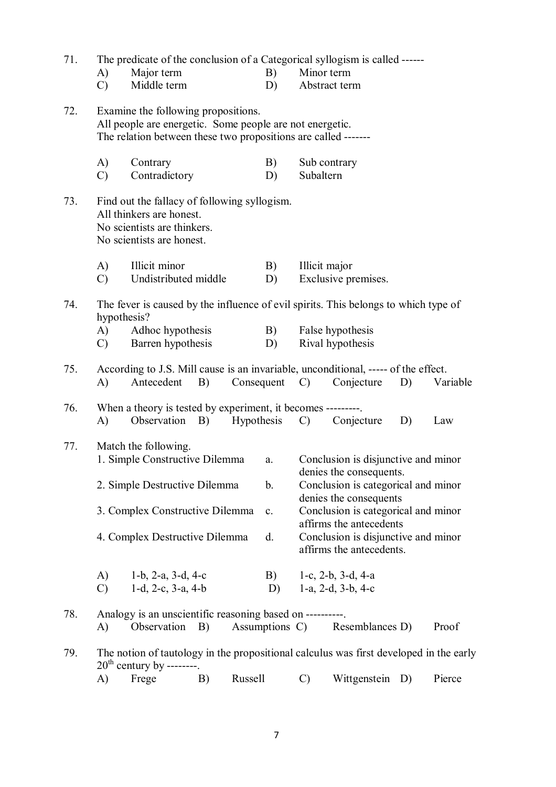| 71. | The predicate of the conclusion of a Categorical syllogism is called ------ |                                                                                                                                                                   |    |            |                |                           |                                                                                            |    |          |  |  |
|-----|-----------------------------------------------------------------------------|-------------------------------------------------------------------------------------------------------------------------------------------------------------------|----|------------|----------------|---------------------------|--------------------------------------------------------------------------------------------|----|----------|--|--|
|     | A)                                                                          | Major term                                                                                                                                                        |    |            | B)             | Minor term                |                                                                                            |    |          |  |  |
|     | $\mathcal{C}$                                                               | Middle term                                                                                                                                                       |    |            | D)             |                           | Abstract term                                                                              |    |          |  |  |
| 72. |                                                                             | Examine the following propositions.<br>All people are energetic. Some people are not energetic.<br>The relation between these two propositions are called ------- |    |            |                |                           |                                                                                            |    |          |  |  |
|     | A)<br>$\mathcal{C}$                                                         | Contrary<br>Contradictory                                                                                                                                         |    |            | B)<br>D)       | Sub contrary<br>Subaltern |                                                                                            |    |          |  |  |
| 73. |                                                                             | Find out the fallacy of following syllogism.<br>All thinkers are honest.<br>No scientists are thinkers.<br>No scientists are honest.                              |    |            |                |                           |                                                                                            |    |          |  |  |
|     | A)                                                                          | Illicit minor                                                                                                                                                     |    |            | B)             | Illicit major             |                                                                                            |    |          |  |  |
|     | $\mathcal{C}$                                                               | Undistributed middle                                                                                                                                              |    |            | D)             |                           | Exclusive premises.                                                                        |    |          |  |  |
| 74. | hypothesis?<br>A)<br>$\mathcal{C}$                                          | The fever is caused by the influence of evil spirits. This belongs to which type of<br>Adhoc hypothesis<br>Barren hypothesis                                      |    |            | B)<br>D)       |                           | False hypothesis<br>Rival hypothesis                                                       |    |          |  |  |
|     |                                                                             |                                                                                                                                                                   |    |            |                |                           |                                                                                            |    |          |  |  |
| 75. | A)                                                                          | According to J.S. Mill cause is an invariable, unconditional, ----- of the effect.<br>Antecedent                                                                  | B) | Consequent |                | $\mathcal{C}$             | Conjecture                                                                                 | D) | Variable |  |  |
| 76. |                                                                             | When a theory is tested by experiment, it becomes ---------                                                                                                       |    |            |                |                           |                                                                                            |    |          |  |  |
|     | A)                                                                          | Observation B)                                                                                                                                                    |    |            | Hypothesis     | $\mathcal{C}$             | Conjecture                                                                                 | D) | Law      |  |  |
| 77. |                                                                             | Match the following.<br>1. Simple Constructive Dilemma                                                                                                            |    |            | a.             |                           | Conclusion is disjunctive and minor                                                        |    |          |  |  |
|     |                                                                             |                                                                                                                                                                   |    |            |                |                           | denies the consequents.                                                                    |    |          |  |  |
|     |                                                                             | 2. Simple Destructive Dilemma                                                                                                                                     |    |            | b.             |                           | Conclusion is categorical and minor<br>denies the consequents                              |    |          |  |  |
|     |                                                                             | 3. Complex Constructive Dilemma                                                                                                                                   |    |            | c.             |                           | Conclusion is categorical and minor                                                        |    |          |  |  |
|     |                                                                             | 4. Complex Destructive Dilemma                                                                                                                                    |    |            | d.             |                           | affirms the antecedents<br>Conclusion is disjunctive and minor<br>affirms the antecedents. |    |          |  |  |
|     | A)                                                                          | 1-b, $2-a$ , $3-d$ , $4-c$                                                                                                                                        |    |            | B)             |                           | 1-c, 2-b, 3-d, 4-a                                                                         |    |          |  |  |
|     | $\mathcal{C}$                                                               | $1-d$ , $2-c$ , $3-a$ , $4-b$                                                                                                                                     |    |            | D)             |                           | 1-a, $2-d$ , $3-b$ , $4-c$                                                                 |    |          |  |  |
|     |                                                                             |                                                                                                                                                                   |    |            |                |                           |                                                                                            |    |          |  |  |
| 78. | A)                                                                          | Analogy is an unscientific reasoning based on ----------<br>Observation                                                                                           | B) |            | Assumptions C) |                           | Resemblances D)                                                                            |    | Proof    |  |  |
| 79. |                                                                             | The notion of tautology in the propositional calculus was first developed in the early<br>$20th$ century by --------                                              |    |            |                |                           |                                                                                            |    |          |  |  |
|     | A)                                                                          | Frege                                                                                                                                                             | B) | Russell    |                | $\mathcal{C}$             | Wittgenstein D)                                                                            |    | Pierce   |  |  |
|     |                                                                             |                                                                                                                                                                   |    |            |                |                           |                                                                                            |    |          |  |  |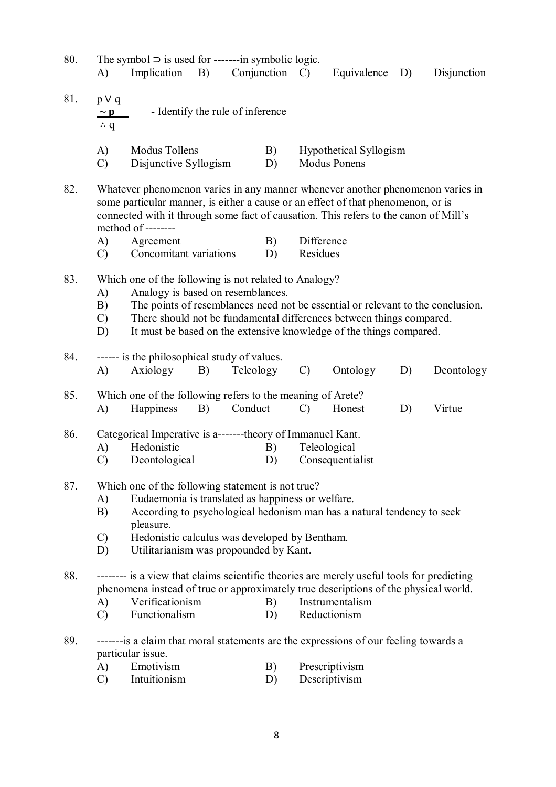- 80. The symbol  $\supset$  is used for ------in symbolic logic. A) Implication B) Conjunction C) Equivalence D) Disjunction
- 81. p ∨ q **~ p** - Identify the rule of inference ∴ q A) Modus Tollens B) Hypothetical Syllogism
	- C) Disjunctive Syllogism D) Modus Ponens
- 82. Whatever phenomenon varies in any manner whenever another phenomenon varies in some particular manner, is either a cause or an effect of that phenomenon, or is connected with it through some fact of causation. This refers to the canon of Mill's method of --------
	- A) Agreement B) Difference
	- C) Concomitant variations D) Residues
- 83. Which one of the following is not related to Analogy?
	- A) Analogy is based on resemblances.
	- B) The points of resemblances need not be essential or relevant to the conclusion.
	- C) There should not be fundamental differences between things compared.
	- D) It must be based on the extensive knowledge of the things compared.

| 84. | ------ is the philosophical study of values.                                                                                                                                     |               |    |                                                             |               |                  |    |            |  |  |  |  |
|-----|----------------------------------------------------------------------------------------------------------------------------------------------------------------------------------|---------------|----|-------------------------------------------------------------|---------------|------------------|----|------------|--|--|--|--|
|     | A)                                                                                                                                                                               | Axiology      | B) | Teleology                                                   | $\mathcal{C}$ | Ontology         | D) | Deontology |  |  |  |  |
| 85. |                                                                                                                                                                                  |               |    | Which one of the following refers to the meaning of Arete?  |               |                  |    |            |  |  |  |  |
|     | A)                                                                                                                                                                               | Happiness     | B) | Conduct                                                     | $\mathcal{C}$ | Honest           | D) | Virtue     |  |  |  |  |
| 86. |                                                                                                                                                                                  |               |    | Categorical Imperative is a--------theory of Immanuel Kant. |               |                  |    |            |  |  |  |  |
|     | A)                                                                                                                                                                               | Hedonistic    |    | B)                                                          | Teleological  |                  |    |            |  |  |  |  |
|     | $\mathcal{C}$                                                                                                                                                                    | Deontological |    | D)                                                          |               | Consequentialist |    |            |  |  |  |  |
| 87. | Which one of the following statement is not true?                                                                                                                                |               |    |                                                             |               |                  |    |            |  |  |  |  |
|     | Eudaemonia is translated as happiness or welfare.<br>A)                                                                                                                          |               |    |                                                             |               |                  |    |            |  |  |  |  |
|     | According to psychological hedonism man has a natural tendency to seek<br>B)<br>pleasure.                                                                                        |               |    |                                                             |               |                  |    |            |  |  |  |  |
|     | $\mathcal{C}$                                                                                                                                                                    |               |    | Hedonistic calculus was developed by Bentham.               |               |                  |    |            |  |  |  |  |
|     | Utilitarianism was propounded by Kant.<br>D)                                                                                                                                     |               |    |                                                             |               |                  |    |            |  |  |  |  |
| 88. | -------- is a view that claims scientific theories are merely useful tools for predicting<br>phenomena instead of true or approximately true descriptions of the physical world. |               |    |                                                             |               |                  |    |            |  |  |  |  |

- A) Verificationism B) Instrumentalism
- C) Functionalism D) Reductionism
- 89. -------is a claim that moral statements are the expressions of our feeling towards a particular issue.
	- A) Emotivism B) Prescriptivism
	- C) Intuitionism D) Descriptivism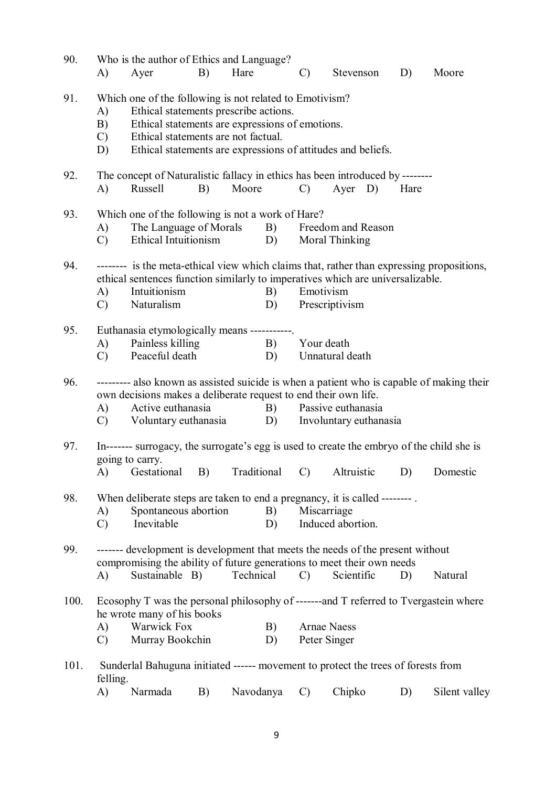| Which one of the following is not related to Emotivism?<br>91.<br>Ethical statements prescribe actions.<br>A)<br>Ethical statements are expressions of emotions.<br>B)<br>Ethical statements are not factual.<br>$\mathcal{C}$<br>Ethical statements are expressions of attitudes and beliefs.<br>D)<br>The concept of Naturalistic fallacy in ethics has been introduced by --------<br>92.<br>Moore<br>Russell<br>Ayer D) Hare<br>A)<br>B)<br>$\mathcal{C}$<br>Which one of the following is not a work of Hare?<br>93.<br>The Language of Morals B) Freedom and Reason<br>A)<br>Moral Thinking<br>Ethical Intuitionism D)<br>$\mathcal{C}$ )<br>-------- is the meta-ethical view which claims that, rather than expressing propositions,<br>94.<br>ethical sentences function similarly to imperatives which are universalizable.<br>Intuitionism<br>Emotivism<br>A)<br>B)<br>Naturalism<br>Prescriptivism<br>$\mathcal{C}$ )<br>D)<br>Euthanasia etymologically means -----------<br>95.<br>Painless killing<br>B)<br>Your death<br>A)<br>Peaceful death<br>Unnatural death<br>$\mathcal{C}$<br>D)<br>96.<br>--------- also known as assisted suicide is when a patient who is capable of making their<br>own decisions makes a deliberate request to end their own life.<br>Active euthanasia<br>B) Passive euthanasia<br>A)<br>Voluntary euthanasia D) Involuntary euthanasia<br>$\mathcal{C}$ )<br>97.<br>In------- surrogacy, the surrogate's egg is used to create the embryo of the child she is<br>going to carry.<br>A) Gestational B) Traditional C) Altruistic D) Domestic<br>98.<br>When deliberate steps are taken to end a pregnancy, it is called --------<br>Spontaneous abortion<br>B)<br>Miscarriage<br>A)<br>Induced abortion.<br>Inevitable<br>$\mathcal{C}$<br>D)<br>------- development is development that meets the needs of the present without<br>99.<br>compromising the ability of future generations to meet their own needs<br>Sustainable B)<br>Technical<br>A)<br>Scientific<br>D)<br>Natural<br>$\mathcal{C}$<br>Ecosophy T was the personal philosophy of -------and T referred to Tvergastein where<br>100.<br>he wrote many of his books<br><b>Warwick Fox</b><br><b>Arnae Naess</b><br>A)<br>B)<br>Murray Bookchin<br>Peter Singer<br>$\mathcal{C}$<br>D)<br>101.<br>Sunderlal Bahuguna initiated ------ movement to protect the trees of forests from<br>felling.<br>Chipko<br>Narmada<br>Navodanya<br>$\mathcal{C}$<br>A)<br>B)<br>D)<br>Silent valley | 90. | A) | Who is the author of Ethics and Language?<br>Ayer | B) | Hare | $\mathcal{C}$ | Stevenson | D) | Moore |
|---------------------------------------------------------------------------------------------------------------------------------------------------------------------------------------------------------------------------------------------------------------------------------------------------------------------------------------------------------------------------------------------------------------------------------------------------------------------------------------------------------------------------------------------------------------------------------------------------------------------------------------------------------------------------------------------------------------------------------------------------------------------------------------------------------------------------------------------------------------------------------------------------------------------------------------------------------------------------------------------------------------------------------------------------------------------------------------------------------------------------------------------------------------------------------------------------------------------------------------------------------------------------------------------------------------------------------------------------------------------------------------------------------------------------------------------------------------------------------------------------------------------------------------------------------------------------------------------------------------------------------------------------------------------------------------------------------------------------------------------------------------------------------------------------------------------------------------------------------------------------------------------------------------------------------------------------------------------------------------------------------------------------------------------------------------------------------------------------------------------------------------------------------------------------------------------------------------------------------------------------------------------------------------------------------------------------------------------------------------------------------------------------------------------------------------------------------------------------------------------------|-----|----|---------------------------------------------------|----|------|---------------|-----------|----|-------|
|                                                                                                                                                                                                                                                                                                                                                                                                                                                                                                                                                                                                                                                                                                                                                                                                                                                                                                                                                                                                                                                                                                                                                                                                                                                                                                                                                                                                                                                                                                                                                                                                                                                                                                                                                                                                                                                                                                                                                                                                                                                                                                                                                                                                                                                                                                                                                                                                                                                                                                   |     |    |                                                   |    |      |               |           |    |       |
|                                                                                                                                                                                                                                                                                                                                                                                                                                                                                                                                                                                                                                                                                                                                                                                                                                                                                                                                                                                                                                                                                                                                                                                                                                                                                                                                                                                                                                                                                                                                                                                                                                                                                                                                                                                                                                                                                                                                                                                                                                                                                                                                                                                                                                                                                                                                                                                                                                                                                                   |     |    |                                                   |    |      |               |           |    |       |
|                                                                                                                                                                                                                                                                                                                                                                                                                                                                                                                                                                                                                                                                                                                                                                                                                                                                                                                                                                                                                                                                                                                                                                                                                                                                                                                                                                                                                                                                                                                                                                                                                                                                                                                                                                                                                                                                                                                                                                                                                                                                                                                                                                                                                                                                                                                                                                                                                                                                                                   |     |    |                                                   |    |      |               |           |    |       |
|                                                                                                                                                                                                                                                                                                                                                                                                                                                                                                                                                                                                                                                                                                                                                                                                                                                                                                                                                                                                                                                                                                                                                                                                                                                                                                                                                                                                                                                                                                                                                                                                                                                                                                                                                                                                                                                                                                                                                                                                                                                                                                                                                                                                                                                                                                                                                                                                                                                                                                   |     |    |                                                   |    |      |               |           |    |       |
|                                                                                                                                                                                                                                                                                                                                                                                                                                                                                                                                                                                                                                                                                                                                                                                                                                                                                                                                                                                                                                                                                                                                                                                                                                                                                                                                                                                                                                                                                                                                                                                                                                                                                                                                                                                                                                                                                                                                                                                                                                                                                                                                                                                                                                                                                                                                                                                                                                                                                                   |     |    |                                                   |    |      |               |           |    |       |
|                                                                                                                                                                                                                                                                                                                                                                                                                                                                                                                                                                                                                                                                                                                                                                                                                                                                                                                                                                                                                                                                                                                                                                                                                                                                                                                                                                                                                                                                                                                                                                                                                                                                                                                                                                                                                                                                                                                                                                                                                                                                                                                                                                                                                                                                                                                                                                                                                                                                                                   |     |    |                                                   |    |      |               |           |    |       |
|                                                                                                                                                                                                                                                                                                                                                                                                                                                                                                                                                                                                                                                                                                                                                                                                                                                                                                                                                                                                                                                                                                                                                                                                                                                                                                                                                                                                                                                                                                                                                                                                                                                                                                                                                                                                                                                                                                                                                                                                                                                                                                                                                                                                                                                                                                                                                                                                                                                                                                   |     |    |                                                   |    |      |               |           |    |       |
|                                                                                                                                                                                                                                                                                                                                                                                                                                                                                                                                                                                                                                                                                                                                                                                                                                                                                                                                                                                                                                                                                                                                                                                                                                                                                                                                                                                                                                                                                                                                                                                                                                                                                                                                                                                                                                                                                                                                                                                                                                                                                                                                                                                                                                                                                                                                                                                                                                                                                                   |     |    |                                                   |    |      |               |           |    |       |
|                                                                                                                                                                                                                                                                                                                                                                                                                                                                                                                                                                                                                                                                                                                                                                                                                                                                                                                                                                                                                                                                                                                                                                                                                                                                                                                                                                                                                                                                                                                                                                                                                                                                                                                                                                                                                                                                                                                                                                                                                                                                                                                                                                                                                                                                                                                                                                                                                                                                                                   |     |    |                                                   |    |      |               |           |    |       |
|                                                                                                                                                                                                                                                                                                                                                                                                                                                                                                                                                                                                                                                                                                                                                                                                                                                                                                                                                                                                                                                                                                                                                                                                                                                                                                                                                                                                                                                                                                                                                                                                                                                                                                                                                                                                                                                                                                                                                                                                                                                                                                                                                                                                                                                                                                                                                                                                                                                                                                   |     |    |                                                   |    |      |               |           |    |       |
|                                                                                                                                                                                                                                                                                                                                                                                                                                                                                                                                                                                                                                                                                                                                                                                                                                                                                                                                                                                                                                                                                                                                                                                                                                                                                                                                                                                                                                                                                                                                                                                                                                                                                                                                                                                                                                                                                                                                                                                                                                                                                                                                                                                                                                                                                                                                                                                                                                                                                                   |     |    |                                                   |    |      |               |           |    |       |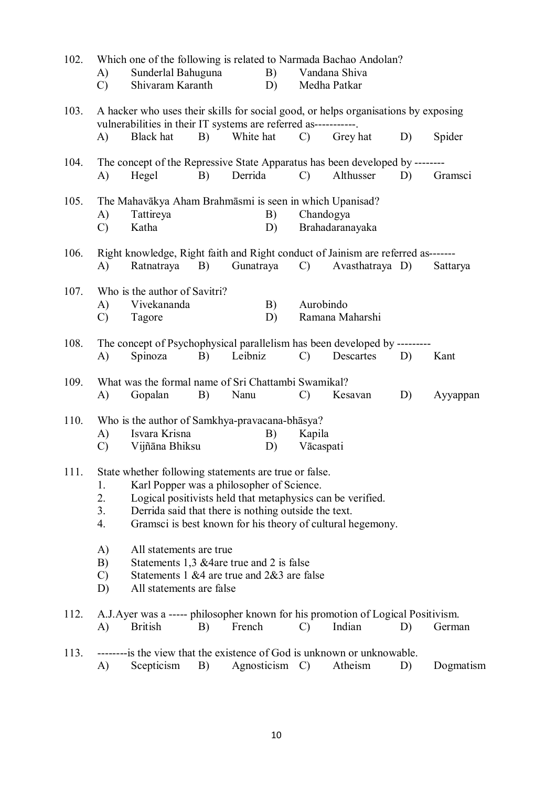| 102. | A)                                                                                                       | Which one of the following is related to Narmada Bachao Andolan?<br>Sunderlal Bahuguna                                                                |    | B)                                                         |                 | Vandana Shiva                                              |    |           |  |  |  |
|------|----------------------------------------------------------------------------------------------------------|-------------------------------------------------------------------------------------------------------------------------------------------------------|----|------------------------------------------------------------|-----------------|------------------------------------------------------------|----|-----------|--|--|--|
|      | C)                                                                                                       | Shivaram Karanth                                                                                                                                      |    | D)                                                         |                 | Medha Patkar                                               |    |           |  |  |  |
| 103. |                                                                                                          | A hacker who uses their skills for social good, or helps organisations by exposing<br>vulnerabilities in their IT systems are referred as------------ |    |                                                            |                 |                                                            |    |           |  |  |  |
|      | A)                                                                                                       | <b>Black</b> hat                                                                                                                                      | B) | White hat                                                  | $\mathcal{C}$ ) | Grey hat                                                   | D) | Spider    |  |  |  |
| 104. |                                                                                                          | The concept of the Repressive State Apparatus has been developed by --------                                                                          |    |                                                            |                 |                                                            |    |           |  |  |  |
|      | A)                                                                                                       | Hegel                                                                                                                                                 | B) | Derrida                                                    | $\mathcal{C}$   | Althusser                                                  | D) | Gramsci   |  |  |  |
| 105. |                                                                                                          | The Mahavākya Aham Brahmāsmi is seen in which Upanisad?                                                                                               |    |                                                            |                 |                                                            |    |           |  |  |  |
|      | A)                                                                                                       | Tattireya                                                                                                                                             |    | B)                                                         |                 | Chandogya                                                  |    |           |  |  |  |
|      | $\mathcal{C}$                                                                                            | Katha                                                                                                                                                 |    | D)                                                         |                 | Brahadaranayaka                                            |    |           |  |  |  |
| 106. |                                                                                                          | Right knowledge, Right faith and Right conduct of Jainism are referred as-------                                                                      |    |                                                            |                 |                                                            |    |           |  |  |  |
|      | A)                                                                                                       | Ratnatraya                                                                                                                                            | B) | Gunatraya                                                  | $\mathcal{C}$   | Avasthatraya D)                                            |    | Sattarya  |  |  |  |
| 107. |                                                                                                          | Who is the author of Savitri?                                                                                                                         |    |                                                            |                 |                                                            |    |           |  |  |  |
|      | A)                                                                                                       | Vivekananda                                                                                                                                           |    | B)                                                         |                 | Aurobindo                                                  |    |           |  |  |  |
|      | $\mathcal{C}$                                                                                            | Tagore                                                                                                                                                |    | D)                                                         |                 | Ramana Maharshi                                            |    |           |  |  |  |
| 108. |                                                                                                          | The concept of Psychophysical parallelism has been developed by ---------                                                                             |    |                                                            |                 |                                                            |    |           |  |  |  |
|      | A)                                                                                                       | Spinoza                                                                                                                                               | B) | Leibniz                                                    | $\mathcal{C}$   | Descartes                                                  | D) | Kant      |  |  |  |
| 109. |                                                                                                          | What was the formal name of Sri Chattambi Swamikal?                                                                                                   |    |                                                            |                 |                                                            |    |           |  |  |  |
|      | A)                                                                                                       | Gopalan                                                                                                                                               | B) | Nanu                                                       | $\mathcal{C}$   | Kesavan                                                    | D) | Ayyappan  |  |  |  |
| 110. |                                                                                                          | Who is the author of Samkhya-pravacana-bhasya?                                                                                                        |    |                                                            |                 |                                                            |    |           |  |  |  |
|      | A)                                                                                                       | Isvara Krisna                                                                                                                                         |    | B)                                                         | Kapila          |                                                            |    |           |  |  |  |
|      | $\mathcal{C}$                                                                                            | Vijñāna Bhiksu                                                                                                                                        |    | D)                                                         | Vācaspati       |                                                            |    |           |  |  |  |
| 111. |                                                                                                          |                                                                                                                                                       |    |                                                            |                 |                                                            |    |           |  |  |  |
|      | State whether following statements are true or false.<br>Karl Popper was a philosopher of Science.<br>1. |                                                                                                                                                       |    |                                                            |                 |                                                            |    |           |  |  |  |
|      | 2.                                                                                                       |                                                                                                                                                       |    | Logical positivists held that metaphysics can be verified. |                 |                                                            |    |           |  |  |  |
|      | 3.                                                                                                       |                                                                                                                                                       |    | Derrida said that there is nothing outside the text.       |                 |                                                            |    |           |  |  |  |
|      | 4.                                                                                                       |                                                                                                                                                       |    |                                                            |                 | Gramsci is best known for his theory of cultural hegemony. |    |           |  |  |  |
|      | A)                                                                                                       | All statements are true                                                                                                                               |    |                                                            |                 |                                                            |    |           |  |  |  |
|      | B)                                                                                                       |                                                                                                                                                       |    | Statements 1,3 & 4 are true and 2 is false                 |                 |                                                            |    |           |  |  |  |
|      | $\mathcal{C}$                                                                                            |                                                                                                                                                       |    | Statements 1 &4 are true and 2&3 are false                 |                 |                                                            |    |           |  |  |  |
|      | D)                                                                                                       | All statements are false                                                                                                                              |    |                                                            |                 |                                                            |    |           |  |  |  |
| 112. |                                                                                                          | A.J. Ayer was a ----- philosopher known for his promotion of Logical Positivism.                                                                      |    |                                                            |                 |                                                            |    |           |  |  |  |
|      | A)                                                                                                       | <b>British</b>                                                                                                                                        | B) | French                                                     | $\mathcal{C}$   | Indian                                                     | D) | German    |  |  |  |
| 113. |                                                                                                          | --------- is the view that the existence of God is unknown or unknowable.                                                                             |    |                                                            |                 |                                                            |    |           |  |  |  |
|      | A)                                                                                                       | Scepticism                                                                                                                                            | B) | Agnosticism                                                | $\mathcal{C}$   | Atheism                                                    | D) | Dogmatism |  |  |  |